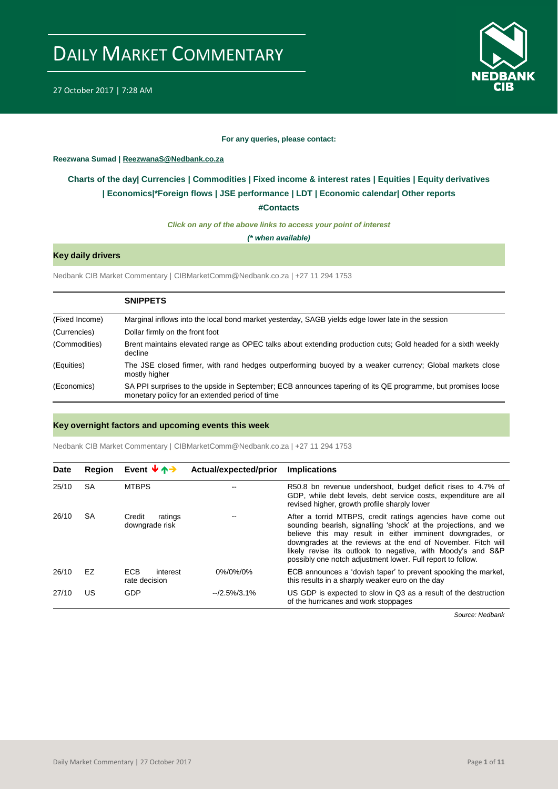



#### **For any queries, please contact:**

## <span id="page-0-0"></span>**Reezwana Sumad | ReezwanaS@Nedbank.co.za**

# **Charts of the day| [Currencies](#page-2-0) [| Commodities](#page-3-0) | [Fixed income & interest rates](#page-1-0) | [Equities](#page-4-0) | Equity derivatives | [Economics|\\*](#page-7-0)Foreign flows [| JSE performance](#page-4-1) | [LDT](#page-5-0) | [Economic calendar|](#page-8-0) Other reports**

**[#Contacts](#page-9-0)**

*Click on any of the above links to access your point of interest*

*(\* when available)*

# **Key daily drivers**

Nedbank CIB Market Commentary | CIBMarketComm@Nedbank.co.za | +27 11 294 1753

|                | <b>SNIPPETS</b>                                                                                                                                               |
|----------------|---------------------------------------------------------------------------------------------------------------------------------------------------------------|
| (Fixed Income) | Marginal inflows into the local bond market yesterday, SAGB yields edge lower late in the session                                                             |
| (Currencies)   | Dollar firmly on the front foot                                                                                                                               |
| (Commodities)  | Brent maintains elevated range as OPEC talks about extending production cuts; Gold headed for a sixth weekly<br>decline                                       |
| (Equities)     | The JSE closed firmer, with rand hedges outperforming buoyed by a weaker currency; Global markets close<br>mostly higher                                      |
| (Economics)    | SA PPI surprises to the upside in September; ECB announces tapering of its QE programme, but promises loose<br>monetary policy for an extended period of time |

### **Key overnight factors and upcoming events this week**

Nedbank CIB Market Commentary | CIBMarketComm@Nedbank.co.za | +27 11 294 1753

| Date  | Region | Event $\forall$ $\uparrow$ $\rightarrow$ | Actual/expected/prior | <b>Implications</b>                                                                                                                                                                                                                                                                                                                                                                       |
|-------|--------|------------------------------------------|-----------------------|-------------------------------------------------------------------------------------------------------------------------------------------------------------------------------------------------------------------------------------------------------------------------------------------------------------------------------------------------------------------------------------------|
| 25/10 | SA     | <b>MTBPS</b>                             |                       | R50.8 bn revenue undershoot, budget deficit rises to 4.7% of<br>GDP, while debt levels, debt service costs, expenditure are all<br>revised higher, growth profile sharply lower                                                                                                                                                                                                           |
| 26/10 | SA     | Credit<br>ratings<br>downgrade risk      |                       | After a torrid MTBPS, credit ratings agencies have come out<br>sounding bearish, signalling 'shock' at the projections, and we<br>believe this may result in either imminent downgrades, or<br>downgrades at the reviews at the end of November. Fitch will<br>likely revise its outlook to negative, with Moody's and S&P<br>possibly one notch adjustment lower. Full report to follow. |
| 26/10 | EZ     | <b>ECB</b><br>interest<br>rate decision  | 0%/0%/0%              | ECB announces a 'dovish taper' to prevent spooking the market,<br>this results in a sharply weaker euro on the day                                                                                                                                                                                                                                                                        |
| 27/10 | US     | GDP                                      | $-2.5\%/3.1\%$        | US GDP is expected to slow in Q3 as a result of the destruction<br>of the hurricanes and work stoppages                                                                                                                                                                                                                                                                                   |

*Source: Nedbank*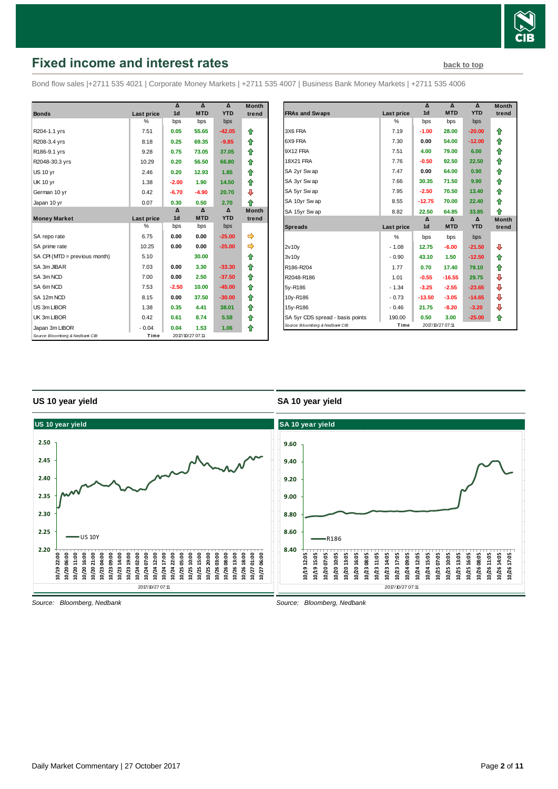

# <span id="page-1-0"></span>**Fixed income and interest rates [back to top](#page-0-0)** back to top

Bond flow sales |+2711 535 4021 | Corporate Money Markets | +2711 535 4007 | Business Bank Money Markets | +2711 535 4006

|                                 |               | Δ              | $\Lambda$        | $\Lambda$  | <b>Month</b> |
|---------------------------------|---------------|----------------|------------------|------------|--------------|
| <b>Bonds</b>                    | Last price    | 1 <sub>d</sub> | <b>MTD</b>       | <b>YTD</b> | trend        |
|                                 | $\frac{0}{0}$ | bps            | bps              | bps        |              |
| R204-1.1 yrs                    | 7.51          | 0.05           | 55.65            | $-42.05$   | ⇑            |
| R208-3.4 yrs                    | 8.18          | 0.25           | 69.35            | $-9.85$    | ⇑            |
| R186-9.1 yrs                    | 9.28          | 0.75           | 73.05            | 37.05      | ⇑            |
| R2048-30.3 yrs                  | 10.29         | 0.20           | 56.50            | 66.80      | ⇑            |
| <b>US 10 yr</b>                 | 2.46          | 0.20           | 12.93            | 1.85       | ♠            |
| <b>UK 10 yr</b>                 | 1.38          | $-2.00$        | 1.90             | 14.50      | ⇑            |
| German 10 yr                    | 0.42          | $-6.70$        | $-4.90$          | 20.70      | ⊕            |
| Japan 10 yr                     | 0.07          | 0.30           | 0.50             | 2.70       | ⇑            |
|                                 |               | Δ              | Δ                | Δ          | <b>Month</b> |
| <b>Money Market</b>             | Last price    | 1 <sub>d</sub> | <b>MTD</b>       | <b>YTD</b> | trend        |
|                                 | %             | bps            | bps              | bps        |              |
| SA repo rate                    | 6.75          | 0.00           | 0.00             | $-25.00$   | ⇛            |
| SA prime rate                   | 10.25         | 0.00           | 0.00             | $-25.00$   | ⇛            |
| SA CPI (MTD = previous month)   | 5.10          |                | 30.00            |            | ⇑            |
| SA 3m JIBAR                     | 7.03          | 0.00           | 3.30             | $-33.30$   | ⇑            |
| SA 3m NCD                       | 7.00          | 0.00           | 2.50             | $-37.50$   | ⇑            |
| SA 6m NCD                       | 7.53          | $-2.50$        | 10.00            | $-45.00$   | ⇑            |
| SA 12m NCD                      | 8.15          | 0.00           | 37.50            | $-30.00$   | ⇑            |
| US 3m LIBOR                     | 1.38          | 0.35           | 4.41             | 38.01      | ⇑            |
| UK 3m LIBOR                     | 0.42          | 0.61           | 8.74             | 5.58       | ⇑            |
| Japan 3m LIBOR                  | $-0.04$       | 0.04           | 1.53             | 1.06       | ⇑            |
| Source: Bloomberg & Nedbank CIB | Time          |                | 2017/10/27 07:11 |            |              |

|                                  |            | Δ              | $\Lambda$        | $\Delta$   | <b>Month</b> |
|----------------------------------|------------|----------------|------------------|------------|--------------|
| <b>FRAs and Swaps</b>            | Last price | 1 <sub>d</sub> | <b>MTD</b>       | <b>YTD</b> | trend        |
|                                  | $\%$       | bps            | bps              | bps        |              |
| 3X6 FRA                          | 7.19       | $-1.00$        | 28.00            | $-20.00$   | ⇑            |
| 6X9 FRA                          | 7.30       | 0.00           | 54.00            | $-12.00$   | ⇑            |
| 9X12 FRA                         | 7.51       | 4.00           | 79.00            | 6.00       | ⇑            |
| <b>18X21 FRA</b>                 | 7.76       | $-0.50$        | 92.50            | 22.50      | ⇑            |
| SA 2yr Swap                      | 7.47       | 0.00           | 64.00            | 0.90       | ⇑            |
| SA 3yr Swap                      | 7.66       | 30.35          | 71.50            | 9.90       | ⇑            |
| SA 5yr Swap                      | 7.95       | $-2.50$        | 70.50            | 13.40      | ⇑            |
| SA 10yr Swap                     | 8.55       | $-12.75$       | 70.00            | 22.40      | ⇑            |
| SA 15yr Swap                     | 8.82       | 22.50          | 64.85            | 33.85      | ♠            |
|                                  |            | $\mathbf{v}$   | $\Lambda$        | $\Lambda$  | <b>Month</b> |
| <b>Spreads</b>                   | Last price | 1 <sub>d</sub> | <b>MTD</b>       | <b>YTD</b> | trend        |
|                                  | %          | bps            | bps              | bps        |              |
| 2v10v                            | $-1.08$    | 12.75          | $-6.00$          | $-21.50$   | ⊕            |
| 3v10y                            | $-0.90$    | 43.10          | 1.50             | $-12.50$   | ⇑            |
| R186-R204                        | 1.77       | 0.70           | 17.40            | 79.10      | ⇑            |
| R2048-R186                       | 1.01       | $-0.55$        | $-16.55$         | 29.75      | ⊕            |
| 5y-R186                          | $-1.34$    | $-3.25$        | $-2.55$          | $-23.65$   | ⊕            |
| 10y-R186                         | $-0.73$    | $-13.50$       | $-3.05$          | $-14.65$   | ⊕            |
| 15y-R186                         | $-0.46$    | 21.75          | $-8.20$          | $-3.20$    | ⇩            |
| SA 5yr CDS spread - basis points | 190.00     | 0.50           | 3.00             | $-25.00$   | ⇑            |
| Source: Bloomberg & Nedbank CIB  | Time       |                | 2017/10/27 07:11 |            |              |

## **US 10 year yield**

## **SA 10 year yield**



*Source: Bloomberg, Nedbank*

*Source: Bloomberg, Nedbank*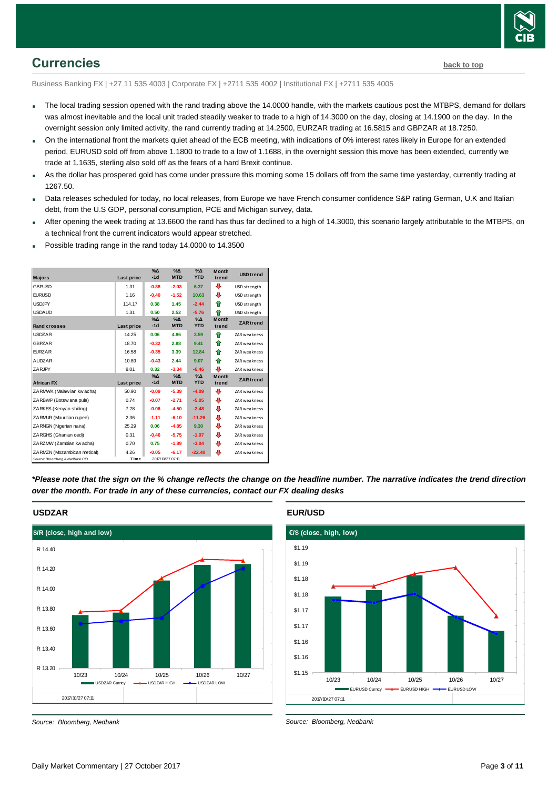

# <span id="page-2-0"></span>**Currencies [back to top](#page-0-0)**

Business Banking FX | +27 11 535 4003 | Corporate FX | +2711 535 4002 | Institutional FX | +2711 535 4005

- The local trading session opened with the rand trading above the 14.0000 handle, with the markets cautious post the MTBPS, demand for dollars was almost inevitable and the local unit traded steadily weaker to trade to a high of 14.3000 on the day, closing at 14.1900 on the day. In the overnight session only limited activity, the rand currently trading at 14.2500, EURZAR trading at 16.5815 and GBPZAR at 18.7250.
- On the international front the markets quiet ahead of the ECB meeting, with indications of 0% interest rates likely in Europe for an extended period, EURUSD sold off from above 1.1800 to trade to a low of 1.1688, in the overnight session this move has been extended, currently we trade at 1.1635, sterling also sold off as the fears of a hard Brexit continue.
- As the dollar has prospered gold has come under pressure this morning some 15 dollars off from the same time yesterday, currently trading at 1267.50.
- Data releases scheduled for today, no local releases, from Europe we have French consumer confidence S&P rating German, U.K and Italian debt, from the U.S GDP, personal consumption, PCE and Michigan survey, data.
- After opening the week trading at 13.6600 the rand has thus far declined to a high of 14.3000, this scenario largely attributable to the MTBPS, on a technical front the current indicators would appear stretched.
- Possible trading range in the rand today 14.0000 to 14.3500

| <b>Majors</b>                   | Last price | $\sqrt{\Delta}$<br>$-1d$ | $\Delta_0$<br><b>MTD</b> | $\Delta_0$<br><b>YTD</b> | <b>Month</b><br>trend | <b>USD</b> trend    |
|---------------------------------|------------|--------------------------|--------------------------|--------------------------|-----------------------|---------------------|
| <b>GBPUSD</b>                   | 1.31       | $-0.38$                  | $-2.03$                  | 6.37                     | ⊕                     | USD strength        |
| <b>EURUSD</b>                   | 1.16       | $-0.40$                  | $-1.52$                  | 10.63                    | ⊕                     | USD strength        |
| <b>USDJPY</b>                   | 114.17     | 0.38                     | 1.45                     | $-2.44$                  | ⇑                     | USD strength        |
| <b>USDAUD</b>                   | 1.31       | 0.50                     | 2.52                     | $-5.76$                  | ⇑                     | USD strength        |
| <b>Rand crosses</b>             | Last price | $\%$ $\Delta$<br>$-1d$   | $\Delta_0$<br><b>MTD</b> | $\Delta$<br><b>YTD</b>   | <b>Month</b><br>trend | <b>ZAR</b> trend    |
| <b>USDZAR</b>                   | 14.25      | 0.06                     | 4.86                     | 3.59                     | ♠                     | <b>ZAR</b> weakness |
| <b>GBPZAR</b>                   | 18.70      | $-0.32$                  | 2.88                     | 9.41                     | ♠                     | <b>ZAR</b> weakness |
| <b>EURZAR</b>                   | 16.58      | $-0.35$                  | 3.39                     | 12.84                    | ♠                     | ZAR weakness        |
| <b>AUDZAR</b>                   | 10.89      | $-0.43$                  | 2.44                     | 9.07                     | ♠                     | ZAR weakness        |
| ZARJPY                          | 8.01       | 0.32                     | $-3.34$                  | $-6.46$                  | ⊕                     | ZAR weakness        |
| <b>African FX</b>               | Last price | $\Delta_0$<br>$-1d$      | $\Delta_0$<br><b>MTD</b> | $\Delta_0$<br><b>YTD</b> | <b>Month</b><br>trend | <b>ZAR</b> trend    |
| ZARMWK (Malaw ian kw acha)      | 50.90      | $-0.09$                  | $-5.39$                  | $-4.09$                  | ⊕                     | <b>ZAR</b> weakness |
| ZARBWP (Botsw ana pula)         | 0.74       | $-0.07$                  | $-2.71$                  | $-5.05$                  | ⊕                     | ZAR weakness        |
| ZARKES (Kenyan shilling)        | 7.28       | $-0.06$                  | $-4.50$                  | $-2.48$                  | ⊕                     | <b>ZAR</b> weakness |
| ZARMUR (Mauritian rupee)        | 2.36       | $-1.11$                  | $-6.10$                  | $-11.26$                 | ⊕                     | ZAR weakness        |
| ZARNGN (Nigerian naira)         | 25.29      | 0.06                     | $-4.85$                  | 9.30                     | ⊕                     | <b>ZAR</b> weakness |
| ZARGHS (Ghanian cedi)           | 0.31       | $-0.46$                  | $-5.75$                  | $-1.07$                  | ⊕                     | <b>ZAR</b> weakness |
| ZARZMW (Zambian kw acha)        | 0.70       | 0.75                     | $-1.89$                  | $-3.04$                  | ⊕                     | ZAR weakness        |
| ZARMZN (Mozambican metical)     | 4.26       | $-0.05$                  | $-6.17$                  | $-22.40$                 | ⊕                     | <b>ZAR</b> weakness |
| Source: Bloomberg & Nedbank CIB | Time       |                          | 2017/10/27 07:11         |                          |                       |                     |

*\*Please note that the sign on the % change reflects the change on the headline number. The narrative indicates the trend direction over the month. For trade in any of these currencies, contact our FX dealing desks*



*Source: Bloomberg, Nedbank*

**EUR/USD**



*Source: Bloomberg, Nedbank*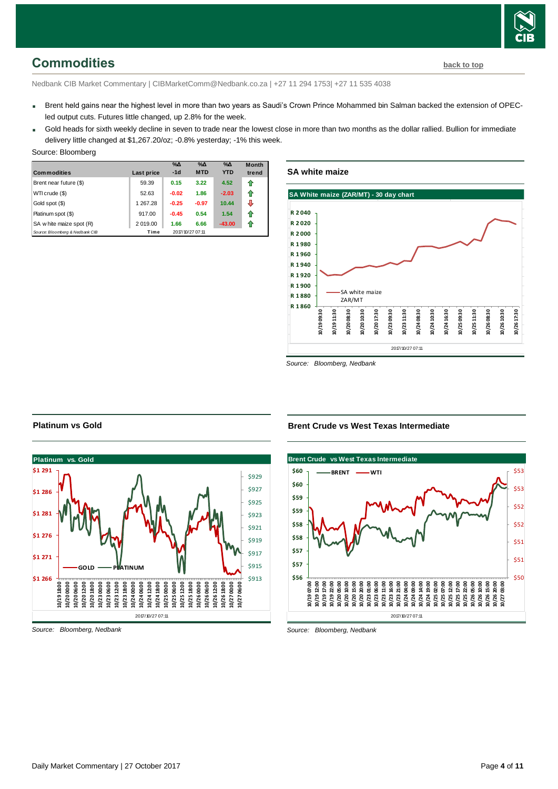# <span id="page-3-0"></span>**Commodities [back to top](#page-0-0)**

Nedbank CIB Market Commentary | CIBMarketComm@Nedbank.co.za | +27 11 294 1753| +27 11 535 4038

- Brent held gains near the highest level in more than two years as Saudi's Crown Prince Mohammed bin Salman backed the extension of OPECled output cuts. Futures little changed, up 2.8% for the week.
- Gold heads for sixth weekly decline in seven to trade near the lowest close in more than two months as the dollar rallied. Bullion for immediate delivery little changed at \$1,267.20/oz; -0.8% yesterday; -1% this week.

#### Source: Bloomberg

| <b>Commodities</b>              | Last price | $\%$ $\Delta$<br>$-1d$ | $\%$ $\Delta$<br><b>MTD</b> | $\% \Delta$<br><b>YTD</b> | <b>Month</b><br>trend |
|---------------------------------|------------|------------------------|-----------------------------|---------------------------|-----------------------|
| Brent near future (\$)          | 59.39      | 0.15                   | 3.22                        | 4.52                      | ⇑                     |
| WTI crude (\$)                  | 52.63      | $-0.02$                | 1.86                        | $-2.03$                   | ⇑                     |
| Gold spot (\$)                  | 1 267.28   | $-0.25$                | $-0.97$                     | 10.44                     | л                     |
| Platinum spot (\$)              | 917.00     | $-0.45$                | 0.54                        | 1.54                      | ⇑                     |
| SA w hite maize spot (R)        | 2 019.00   | 1.66                   | 6.66                        | $-43.00$                  | 11                    |
| Source: Bloomberg & Nedbank CIB | Time       |                        | 2017/10/27 07:11            |                           |                       |

### **SA white maize**



*Source: Bloomberg, Nedbank*

## **Platinum vs Gold**



*Source: Bloomberg, Nedbank*

## **Brent Crude vs West Texas Intermediate**



*Source: Bloomberg, Nedbank*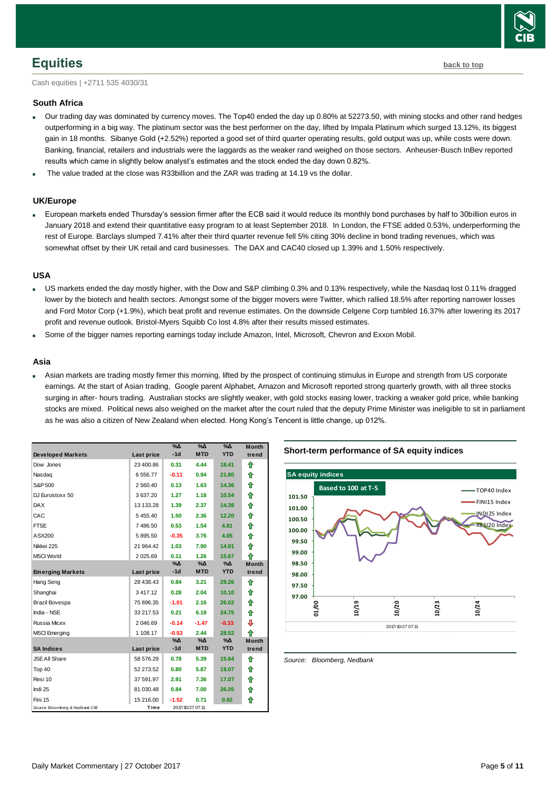

# <span id="page-4-0"></span>**Equities [back to top](#page-0-0)**

Cash equities | +2711 535 4030/31

#### **South Africa**

- Our trading day was dominated by currency moves. The Top40 ended the day up 0.80% at 52273.50, with mining stocks and other rand hedges outperforming in a big way. The platinum sector was the best performer on the day, lifted by Impala Platinum which surged 13.12%, its biggest gain in 18 months. Sibanye Gold (+2.52%) reported a good set of third quarter operating results, gold output was up, while costs were down. Banking, financial, retailers and industrials were the laggards as the weaker rand weighed on those sectors. Anheuser-Busch InBev reported results which came in slightly below analyst's estimates and the stock ended the day down 0.82%.
- The value traded at the close was R33billion and the ZAR was trading at 14.19 vs the dollar.

## **UK/Europe**

 European markets ended Thursday's session firmer after the ECB said it would reduce its monthly bond purchases by half to 30billion euros in January 2018 and extend their quantitative easy program to at least September 2018. In London, the FTSE added 0.53%, underperforming the rest of Europe. Barclays slumped 7.41% after their third quarter revenue fell 5% citing 30% decline in bond trading revenues, which was somewhat offset by their UK retail and card businesses. The DAX and CAC40 closed up 1.39% and 1.50% respectively.

#### **USA**

- US markets ended the day mostly higher, with the Dow and S&P climbing 0.3% and 0.13% respectively, while the Nasdaq lost 0.11% dragged lower by the biotech and health sectors. Amongst some of the bigger movers were Twitter, which rallied 18.5% after reporting narrower losses and Ford Motor Corp (+1.9%), which beat profit and revenue estimates. On the downside Celgene Corp tumbled 16.37% after lowering its 2017 profit and revenue outlook. Bristol-Myers Squibb Co lost 4.8% after their results missed estimates.
- Some of the bigger names reporting earnings today include Amazon, Intel, Microsoft, Chevron and Exxon Mobil.

#### **Asia**

 Asian markets are trading mostly firmer this morning, lifted by the prospect of continuing stimulus in Europe and strength from US corporate earnings. At the start of Asian trading, Google parent Alphabet, Amazon and Microsoft reported strong quarterly growth, with all three stocks surging in after- hours trading. Australian stocks are slightly weaker, with gold stocks easing lower, tracking a weaker gold price, while banking stocks are mixed. Political news also weighed on the market after the court ruled that the deputy Prime Minister was ineligible to sit in parliament as he was also a citizen of New Zealand when elected. Hong Kong's Tencent is little change, up 012%.

|                                 |               | %Δ<br>$-1d$ | %Δ<br><b>MTD</b> | %Δ<br><b>YTD</b> | <b>Month</b> |
|---------------------------------|---------------|-------------|------------------|------------------|--------------|
| <b>Developed Markets</b>        | Last price    |             |                  |                  | trend        |
| Dow Jones                       | 23 400.86     | 0.31        | 4.44             | 18.41            | ♠            |
| Nasdag                          | 6 556.77      | $-0.11$     | 0.94             | 21.80            | ⇑            |
| S&P 500                         | 2 560.40      | 0.13        | 1.63             | 14.36            | ♠            |
| DJ Eurostoxx 50                 | 3 637.20      | 1.27        | 1.18             | 10.54            | ⇑            |
| <b>DAX</b>                      | 13 133.28     | 1.39        | 2.37             | 14.39            | ⇑            |
| CAC                             | 5455.40       | 1.50        | 2.36             | 12.20            | ⇑            |
| <b>FTSE</b>                     | 7486.50       | 0.53        | 1.54             | 4.81             | ⇑            |
| ASX200                          | 5 895.50      | $-0.35$     | 3.76             | 4.05             | ♠            |
| Nikkei 225                      | 21 964.42     | 1.03        | 7.90             | 14.91            | ⇑            |
| <b>MSCI World</b>               | 2 0 2 5 . 6 9 | 0.11        | 1.26             | 15.67            | ♠            |
|                                 |               | %Δ          | %Δ               | %Δ               | <b>Month</b> |
| <b>Emerging Markets</b>         | Last price    | $-1d$       | <b>MTD</b>       | <b>YTD</b>       | trend        |
| Hang Seng                       | 28 438.43     | 0.84        | 3.21             | 29.26            | ⇑            |
| Shanghai                        | 3 417.12      | 0.28        | 2.04             | 10.10            | ⇑            |
| Brazil Bovespa                  | 75 896.35     | $-1.01$     | 2.16             | 26.02            | ♠            |
| India - NSE                     | 33 217.53     | 0.21        | 6.18             | 24.75            | ⇑            |
| Russia Micex                    | 2 046.69      | $-0.14$     | $-1.47$          | $-8.33$          | ⊕            |
| <b>MSCI</b> Emerging            | 1 108.17      | $-0.53$     | 2.44             | 28.52            | ♠            |
|                                 |               | %Δ<br>$-1d$ | %∆<br><b>MTD</b> | %Δ<br><b>YTD</b> | <b>Month</b> |
| <b>SA Indices</b>               | Last price    |             |                  |                  | trend        |
| <b>JSE All Share</b>            | 58 576.29     | 0.78        | 5.39             | 15.64            | ♠            |
| Top 40                          | 52 273.52     | 0.80        | 5.87             | 19.07            | ⇑            |
| Resi 10                         | 37 591.97     | 2.91        | 7.36             | 17.07            | ⇑            |
| Indi 25                         | 81 030.48     | 0.84        | 7.00             | 26.05            | ⇑            |
| Fini 15                         | 15 216.00     | $-1.52$     | 0.71             | 0.92             | ⇑            |
| Source: Bloomberg & Nedbank CIB | Time          |             | 2017/10/27 07:11 |                  |              |



<span id="page-4-1"></span>*Source: Bloomberg, Nedbank*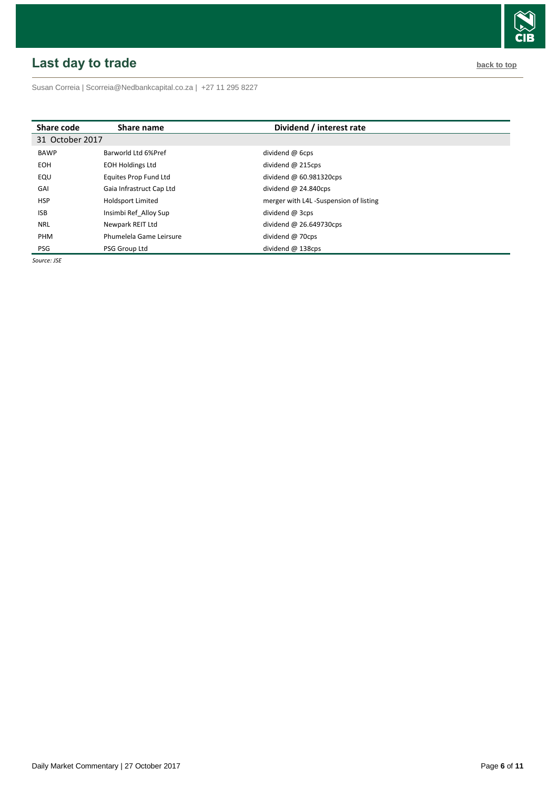# <span id="page-5-0"></span>**Last day to trade back to the contract of the contract of the contract of the contract of the contract of the contract of the contract of the contract of the contract of the contract of the contract of the contract of t**

Susan Correia [| Scorreia@Nedbankcapital.co.za](mailto:Scorreia@Nedbankcapital.co.za) | +27 11 295 8227

| Share code      | Share name               | Dividend / interest rate               |
|-----------------|--------------------------|----------------------------------------|
| 31 October 2017 |                          |                                        |
| <b>BAWP</b>     | Barworld Ltd 6%Pref      | dividend @ 6cps                        |
| <b>EOH</b>      | <b>EOH Holdings Ltd</b>  | dividend $@$ 215cps                    |
| EQU             | Equites Prop Fund Ltd    | dividend $@60.981320$ cps              |
| GAI             | Gaia Infrastruct Cap Ltd | dividend $@$ 24.840cps                 |
| <b>HSP</b>      | <b>Holdsport Limited</b> | merger with L4L -Suspension of listing |
| <b>ISB</b>      | Insimbi Ref Alloy Sup    | dividend @ 3cps                        |
| <b>NRL</b>      | Newpark REIT Ltd         | dividend $@$ 26.649730cps              |
| PHM             | Phumelela Game Leirsure  | dividend @ 70cps                       |
| <b>PSG</b>      | PSG Group Ltd            | dividend $@$ 138cps                    |

*Source: JSE*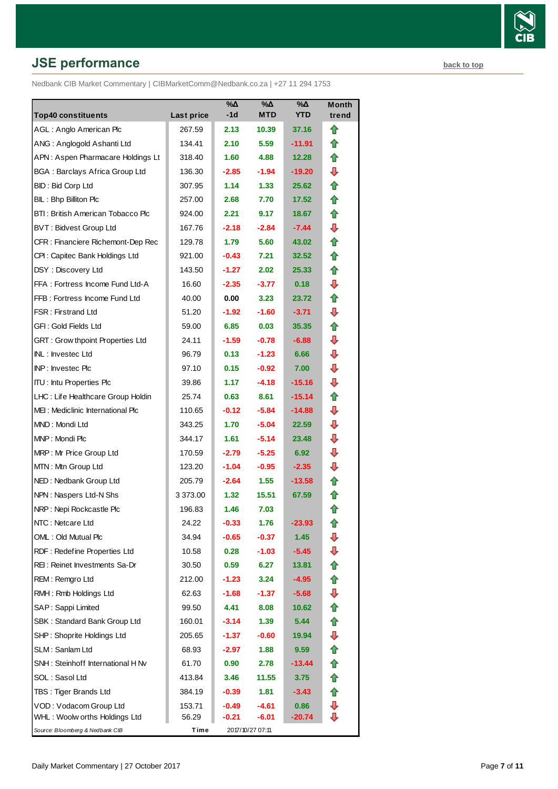# **JSE performance [back to top](#page-0-0) back to top**

Nedbank CIB Market Commentary | CIBMarketComm@Nedbank.co.za | +27 11 294 1753

| <b>Top40 constituents</b>               | Last price | %Δ<br>-1d         | %Δ<br><b>MTD</b> | %Δ<br><b>YTD</b> | Month<br>trend |
|-----------------------------------------|------------|-------------------|------------------|------------------|----------------|
| AGL: Anglo American Plc                 | 267.59     | 2.13              | 10.39            | 37.16            | ⇑              |
| ANG: Anglogold Ashanti Ltd              | 134.41     | 2.10              | 5.59             | -11.91           | ⇑              |
| APN: Aspen Pharmacare Holdings Lt       | 318.40     | 1.60              | 4.88             | 12.28            | ⇑              |
| <b>BGA: Barclays Africa Group Ltd</b>   | 136.30     | $-2.85$           | $-1.94$          | -19.20           | ⊕              |
| BID: Bid Corp Ltd                       | 307.95     | 1.14              | 1.33             | 25.62            | ⇑              |
| BIL: Bhp Billiton Plc                   | 257.00     | 2.68              | 7.70             | 17.52            | ⇑              |
| BTI: British American Tobacco Plc       | 924.00     | 2.21              | 9.17             | 18.67            | ⇑              |
| <b>BVT: Bidvest Group Ltd</b>           | 167.76     | $-2.18$           | $-2.84$          | -7.44            | ⊕              |
| CFR: Financiere Richemont-Dep Rec       | 129.78     | 1.79              | 5.60             | 43.02            | ⇑              |
| CPI: Capitec Bank Holdings Ltd          | 921.00     | $-0.43$           | 7.21             | 32.52            | ⇑              |
| DSY: Discovery Ltd                      | 143.50     | $-1.27$           | 2.02             | 25.33            | ⇑              |
| FFA: Fortress Income Fund Ltd-A         | 16.60      | $-2.35$           | $-3.77$          | 0.18             | ⊕              |
| FFB: Fortress Income Fund Ltd           | 40.00      | 0.00              | 3.23             | 23.72            | ⇑              |
| FSR: Firstrand Ltd                      | 51.20      | $-1.92$           | $-1.60$          | $-3.71$          | ⊕              |
| GFI: Gold Fields Ltd                    | 59.00      | 6.85              | 0.03             | 35.35            | ⇑              |
| <b>GRT: Grow thpoint Properties Ltd</b> | 24.11      | $-1.59$           | $-0.78$          | $-6.88$          | ⊕              |
| INL: Investec Ltd                       | 96.79      | 0.13              | $-1.23$          | 6.66             | ⊕              |
| <b>INP:</b> Invested Plc                | 97.10      | 0.15              | $-0.92$          | 7.00             | ⊕              |
| <b>ITU:</b> Intu Properties Plc         | 39.86      | 1.17              | $-4.18$          | -15.16           | ⊕              |
| LHC: Life Healthcare Group Holdin       | 25.74      | 0.63              | 8.61             | -15.14           | ⇑              |
| MEI: Mediclinic International Plc       | 110.65     | $-0.12$           | $-5.84$          | $-14.88$         | ⊕              |
| MND: Mondi Ltd                          | 343.25     | 1.70              | $-5.04$          | 22.59            | ⊕              |
| MNP: Mondi Plc                          | 344.17     | 1.61              | $-5.14$          | 23.48            | ⊕              |
| MRP: Mr Price Group Ltd                 | 170.59     | $-2.79$           | $-5.25$          | 6.92             | ⊕              |
| MTN: Mtn Group Ltd                      | 123.20     | $-1.04$           | $-0.95$          | $-2.35$          | ⊕              |
| NED: Nedbank Group Ltd                  | 205.79     | $-2.64$           | 1.55             | -13.58           | ⇑              |
| NPN: Naspers Ltd-N Shs                  | 3 373.00   | 1.32 <sub>1</sub> | 15.51            | 67.59            | Ħ              |
| NRP: Nepi Rockcastle Plc                | 196.83     | 1.46              | 7.03             |                  | ⇑              |
| NTC: Netcare Ltd                        | 24.22      | $-0.33$           | 1.76             | -23.93           | t              |
| OML: Old Mutual Plc                     | 34.94      | $-0.65$           | $-0.37$          | 1.45             | ⇩              |
| RDF: Redefine Properties Ltd            | 10.58      | 0.28              | $-1.03$          | $-5.45$          | ⇩              |
| REI: Reinet Investments Sa-Dr           | 30.50      | 0.59              | 6.27             | 13.81            | ⇮              |
| REM: Remgro Ltd                         | 212.00     | $-1.23$           | 3.24             | $-4.95$          | ⇑              |
| RMH: Rmb Holdings Ltd                   | 62.63      | $-1.68$           | $-1.37$          | $-5.68$          | ⇩              |
| SAP: Sappi Limited                      | 99.50      | 4.41              | 8.08             | 10.62            | ⇮              |
| SBK: Standard Bank Group Ltd            | 160.01     | $-3.14$           | 1.39             | 5.44             | ⇑              |
| SHP: Shoprite Holdings Ltd              | 205.65     | $-1.37$           | $-0.60$          | 19.94            | ⇩              |
| SLM: Sanlam Ltd                         | 68.93      | $-2.97$           | 1.88             | 9.59             | ⇑              |
| SNH: Steinhoff International H Nv       | 61.70      | 0.90              | 2.78             | -13.44           | ⇮              |
| SOL: Sasol Ltd                          | 413.84     | 3.46              | 11.55            | 3.75             | ⇑              |
| TBS: Tiger Brands Ltd                   | 384.19     | $-0.39$           | 1.81             | -3.43            | n              |
| VOD: Vodacom Group Ltd                  | 153.71     | $-0.49$           | -4.61            | 0.86             | ⇩              |
| WHL: Woolw orths Holdings Ltd           | 56.29      | $-0.21$           | $-6.01$          | -20.74           | ⇩              |
| Source: Bloomberg & Nedbank CIB         | Time       |                   | 2017/10/27 07:11 |                  |                |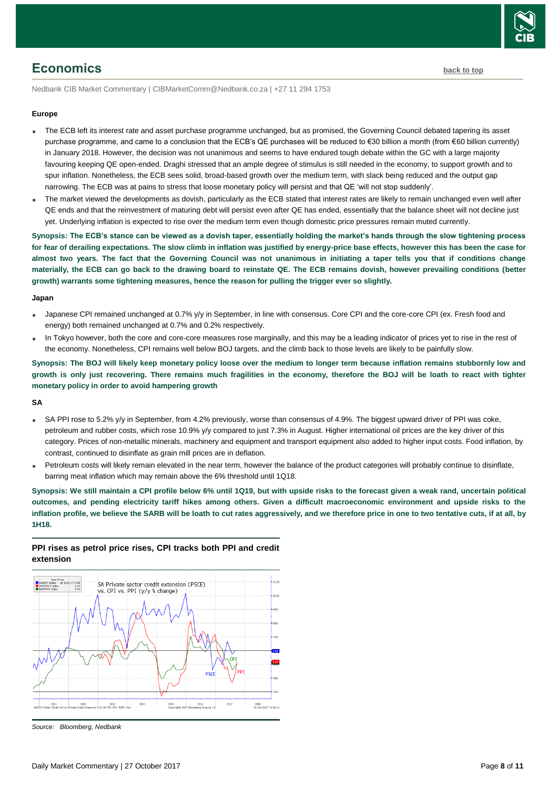

# <span id="page-7-0"></span>**Economics [back to top](#page-0-0)**

Nedbank CIB Market Commentary | CIBMarketComm@Nedbank.co.za | +27 11 294 1753

#### **Europe**

- The ECB left its interest rate and asset purchase programme unchanged, but as promised, the Governing Council debated tapering its asset purchase programme, and came to a conclusion that the ECB's QE purchases will be reduced to €30 billion a month (from €60 billion currently) in January 2018. However, the decision was not unanimous and seems to have endured tough debate within the GC with a large majority favouring keeping QE open-ended. Draghi stressed that an ample degree of stimulus is still needed in the economy, to support growth and to spur inflation. Nonetheless, the ECB sees solid, broad-based growth over the medium term, with slack being reduced and the output gap narrowing. The ECB was at pains to stress that loose monetary policy will persist and that QE 'will not stop suddenly'.
- The market viewed the developments as dovish, particularly as the ECB stated that interest rates are likely to remain unchanged even well after QE ends and that the reinvestment of maturing debt will persist even after QE has ended, essentially that the balance sheet will not decline just yet. Underlying inflation is expected to rise over the medium term even though domestic price pressures remain muted currently.

**Synopsis: The ECB's stance can be viewed as a dovish taper, essentially holding the market's hands through the slow tightening process for fear of derailing expectations. The slow climb in inflation was justified by energy-price base effects, however this has been the case for almost two years. The fact that the Governing Council was not unanimous in initiating a taper tells you that if conditions change materially, the ECB can go back to the drawing board to reinstate QE. The ECB remains dovish, however prevailing conditions (better growth) warrants some tightening measures, hence the reason for pulling the trigger ever so slightly.**

#### **Japan**

- Japanese CPI remained unchanged at 0.7% y/y in September, in line with consensus. Core CPI and the core-core CPI (ex. Fresh food and energy) both remained unchanged at 0.7% and 0.2% respectively.
- In Tokyo however, both the core and core-core measures rose marginally, and this may be a leading indicator of prices yet to rise in the rest of the economy. Nonetheless, CPI remains well below BOJ targets, and the climb back to those levels are likely to be painfully slow.

**Synopsis: The BOJ will likely keep monetary policy loose over the medium to longer term because inflation remains stubbornly low and growth is only just recovering. There remains much fragilities in the economy, therefore the BOJ will be loath to react with tighter monetary policy in order to avoid hampering growth**

**SA**

- SA PPI rose to 5.2% y/y in September, from 4.2% previously, worse than consensus of 4.9%. The biggest upward driver of PPI was coke, petroleum and rubber costs, which rose 10.9% y/y compared to just 7.3% in August. Higher international oil prices are the key driver of this category. Prices of non-metallic minerals, machinery and equipment and transport equipment also added to higher input costs. Food inflation, by contrast, continued to disinflate as grain mill prices are in deflation.
- Petroleum costs will likely remain elevated in the near term, however the balance of the product categories will probably continue to disinflate, barring meat inflation which may remain above the 6% threshold until 1Q18.

**Synopsis: We still maintain a CPI profile below 6% until 1Q19, but with upside risks to the forecast given a weak rand, uncertain political outcomes, and pending electricity tariff hikes among others. Given a difficult macroeconomic environment and upside risks to the inflation profile, we believe the SARB will be loath to cut rates aggressively, and we therefore price in one to two tentative cuts, if at all, by 1H18.** 

# **PPI rises as petrol price rises, CPI tracks both PPI and credit extension**



*Source: Bloomberg, Nedbank*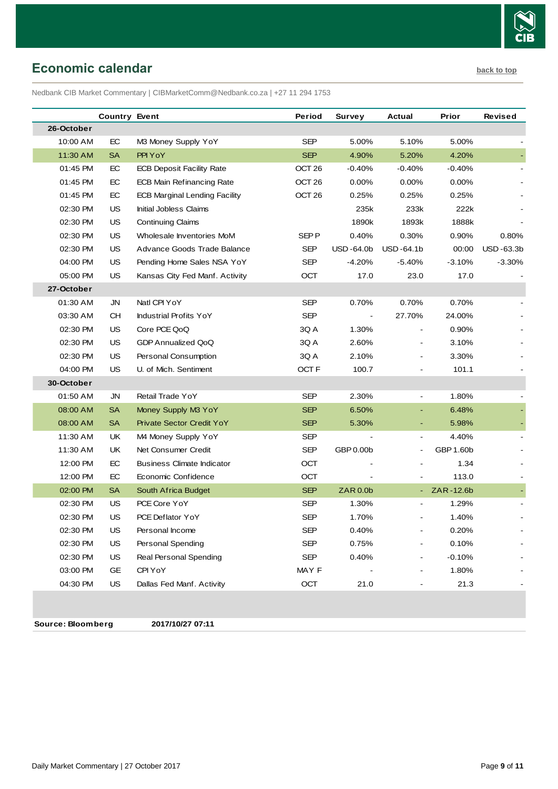

# <span id="page-8-0"></span>**Economic calendar [back to top](#page-0-0)**

Nedbank CIB Market Commentary | CIBMarketComm@Nedbank.co.za | +27 11 294 1753

|            | <b>Country Event</b> |                                   | Period            | Survey                   | Actual                   | Prior     | <b>Revised</b> |
|------------|----------------------|-----------------------------------|-------------------|--------------------------|--------------------------|-----------|----------------|
| 26-October |                      |                                   |                   |                          |                          |           |                |
| 10:00 AM   | EC                   | M3 Money Supply YoY               | <b>SEP</b>        | 5.00%                    | 5.10%                    | 5.00%     |                |
| 11:30 AM   | <b>SA</b>            | PPI YoY                           | <b>SEP</b>        | 4.90%                    | 5.20%                    | 4.20%     |                |
| 01:45 PM   | EC                   | <b>ECB Deposit Facility Rate</b>  | OCT <sub>26</sub> | -0.40%                   | $-0.40%$                 | $-0.40%$  |                |
| 01:45 PM   | EC                   | <b>ECB Main Refinancing Rate</b>  | OCT <sub>26</sub> | 0.00%                    | 0.00%                    | $0.00\%$  |                |
| 01:45 PM   | EC                   | ECB Marginal Lending Facility     | OCT <sub>26</sub> | 0.25%                    | 0.25%                    | 0.25%     |                |
| 02:30 PM   | <b>US</b>            | Initial Jobless Claims            |                   | 235k                     | 233k                     | 222k      |                |
| 02:30 PM   | <b>US</b>            | <b>Continuing Claims</b>          |                   | 1890k                    | 1893k                    | 1888k     |                |
| 02:30 PM   | US                   | Wholesale Inventories MoM         | SEP P             | 0.40%                    | 0.30%                    | 0.90%     | 0.80%          |
| 02:30 PM   | US.                  | Advance Goods Trade Balance       | SEP               | USD -64.0b               | USD-64.1b                | 00:00     | USD-63.3b      |
| 04:00 PM   | <b>US</b>            | Pending Home Sales NSA YoY        | SEP               | $-4.20%$                 | $-5.40%$                 | $-3.10%$  | $-3.30%$       |
| 05:00 PM   | US.                  | Kansas City Fed Manf. Activity    | <b>OCT</b>        | 17.0                     | 23.0                     | 17.0      |                |
| 27-October |                      |                                   |                   |                          |                          |           |                |
| 01:30 AM   | JN                   | Natl CPI YoY                      | SEP               | 0.70%                    | 0.70%                    | 0.70%     |                |
| 03:30 AM   | CН                   | <b>Industrial Profits YoY</b>     | <b>SEP</b>        | $\overline{\phantom{a}}$ | 27.70%                   | 24.00%    |                |
| 02:30 PM   | US                   | Core PCE QoQ                      | 3Q A              | 1.30%                    |                          | 0.90%     |                |
| 02:30 PM   | US.                  | <b>GDP Annualized QoQ</b>         | 3Q A              | 2.60%                    |                          | 3.10%     |                |
| 02:30 PM   | US                   | Personal Consumption              | 3Q A              | 2.10%                    |                          | 3.30%     |                |
| 04:00 PM   | US                   | U. of Mich. Sentiment             | OCT <sub>F</sub>  | 100.7                    |                          | 101.1     |                |
| 30-October |                      |                                   |                   |                          |                          |           |                |
| 01:50 AM   | JN                   | Retail Trade YoY                  | <b>SEP</b>        | 2.30%                    | $\overline{\phantom{a}}$ | 1.80%     |                |
| 08:00 AM   | <b>SA</b>            | Money Supply M3 YoY               | <b>SEP</b>        | 6.50%                    | ٠                        | 6.48%     |                |
| 08:00 AM   | <b>SA</b>            | <b>Private Sector Credit YoY</b>  | <b>SEP</b>        | 5.30%                    |                          | 5.98%     |                |
| 11:30 AM   | UK.                  | M4 Money Supply YoY               | SEP               |                          |                          | 4.40%     |                |
| 11:30 AM   | UK.                  | Net Consumer Credit               | <b>SEP</b>        | GBP 0.00b                |                          | GBP 1.60b |                |
| 12:00 PM   | EC                   | <b>Business Climate Indicator</b> | <b>OCT</b>        |                          |                          | 1.34      |                |
| 12:00 PM   | EC                   | Economic Confidence               | OCT               |                          |                          | 113.0     |                |
| 02:00 PM   | <b>SA</b>            | South Africa Budget               | <b>SEP</b>        | <b>ZAR0.0b</b>           |                          | ZAR-12.6b |                |
| 02:30 PM   | US                   | PCE Core YoY                      | SEP               | 1.30%                    |                          | 1.29%     |                |
| 02:30 PM   | US                   | PCE Deflator YoY                  | SEP               | 1.70%                    |                          | 1.40%     |                |
| 02:30 PM   | US                   | Personal Income                   | <b>SEP</b>        | 0.40%                    |                          | 0.20%     |                |
| 02:30 PM   | US                   | <b>Personal Spending</b>          | <b>SEP</b>        | 0.75%                    |                          | 0.10%     |                |
| 02:30 PM   | US                   | Real Personal Spending            | <b>SEP</b>        | 0.40%                    |                          | $-0.10%$  |                |
| 03:00 PM   | GE                   | CPI YoY                           | MAY F             |                          |                          | 1.80%     |                |
| 04:30 PM   | <b>US</b>            | Dallas Fed Manf. Activity         | OCT               | 21.0                     |                          | 21.3      |                |

**Source: Bloomberg 2017/10/27 07:11**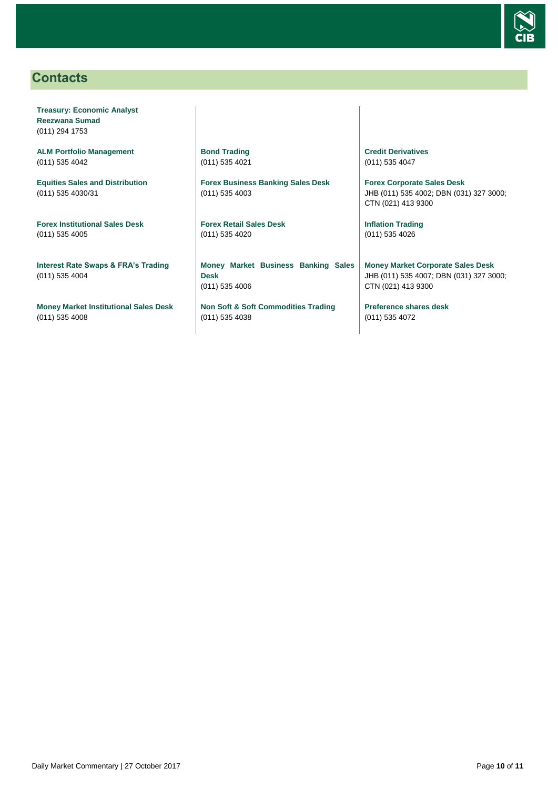

# <span id="page-9-0"></span>**Contacts**

**Treasury: Economic Analyst Reezwana Sumad** (011) 294 1753

**ALM Portfolio Management** (011) 535 4042

**Equities Sales and Distribution** (011) 535 4030/31

**Forex Institutional Sales Desk** (011) 535 4005

**Interest Rate Swaps & FRA's Trading** (011) 535 4004

**Money Market Institutional Sales Desk** (011) 535 4008

**Bond Trading** (011) 535 4021

**Forex Business Banking Sales Desk** (011) 535 4003

**Forex Retail Sales Desk** (011) 535 4020

**Money Market Business Banking Sales Desk** (011) 535 4006

**Non Soft & Soft Commodities Trading** (011) 535 4038

**Credit Derivatives**  (011) 535 4047

**Forex Corporate Sales Desk** JHB (011) 535 4002; DBN (031) 327 3000; CTN (021) 413 9300

**Inflation Trading** (011) 535 4026

**Money Market Corporate Sales Desk** JHB (011) 535 4007; DBN (031) 327 3000; CTN (021) 413 9300

**Preference shares desk** (011) 535 4072